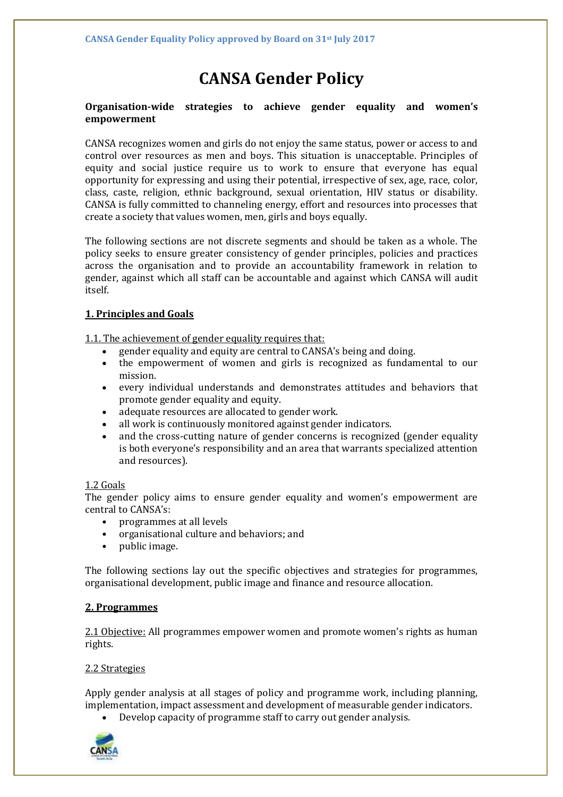# **CANSA Gender Policy**

## **Organisation-wide strategies to achieve gender equality and women's empowerment**

CANSA recognizes women and girls do not enjoy the same status, power or access to and control over resources as men and boys. This situation is unacceptable. Principles of equity and social justice require us to work to ensure that everyone has equal opportunity for expressing and using their potential, irrespective of sex, age, race, color, class, caste, religion, ethnic background, sexual orientation, HIV status or disability. CANSA is fully committed to channeling energy, effort and resources into processes that create a society that values women, men, girls and boys equally.

The following sections are not discrete segments and should be taken as a whole. The policy seeks to ensure greater consistency of gender principles, policies and practices across the organisation and to provide an accountability framework in relation to gender, against which all staff can be accountable and against which CANSA will audit itself.

## **1. Principles and Goals**

1.1. The achievement of gender equality requires that:

- gender equality and equity are central to CANSA's being and doing.
- the empowerment of women and girls is recognized as fundamental to our mission.
- every individual understands and demonstrates attitudes and behaviors that promote gender equality and equity.
- adequate resources are allocated to gender work.
- all work is continuously monitored against gender indicators.
- and the cross-cutting nature of gender concerns is recognized (gender equality is both everyone's responsibility and an area that warrants specialized attention and resources).

## 1.2 Goals

The gender policy aims to ensure gender equality and women's empowerment are central to CANSA's:

- programmes at all levels
- organisational culture and behaviors; and
- public image.

The following sections lay out the specific objectives and strategies for programmes, organisational development, public image and finance and resource allocation.

## **2. Programmes**

2.1 Objective: All programmes empower women and promote women's rights as human rights.

## 2.2 Strategies

Apply gender analysis at all stages of policy and programme work, including planning, implementation, impact assessment and development of measurable gender indicators.

• Develop capacity of programme staff to carry out gender analysis.

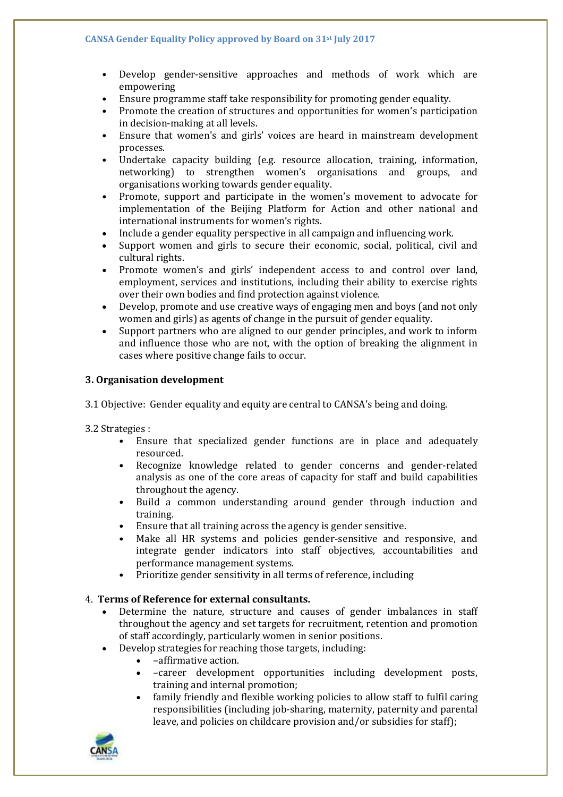- Develop gender-sensitive approaches and methods of work which are empowering
- Ensure programme staff take responsibility for promoting gender equality.
- Promote the creation of structures and opportunities for women's participation in decision-making at all levels.
- Ensure that women's and girls' voices are heard in mainstream development processes.
- Undertake capacity building (e.g. resource allocation, training, information, networking) to strengthen women's organisations and groups, and organisations working towards gender equality.
- Promote, support and participate in the women's movement to advocate for implementation of the Beijing Platform for Action and other national and international instruments for women's rights.
- Include a gender equality perspective in all campaign and influencing work.
- Support women and girls to secure their economic, social, political, civil and cultural rights.
- Promote women's and girls' independent access to and control over land, employment, services and institutions, including their ability to exercise rights over their own bodies and find protection against violence.
- Develop, promote and use creative ways of engaging men and boys (and not only women and girls) as agents of change in the pursuit of gender equality.
- Support partners who are aligned to our gender principles, and work to inform and influence those who are not, with the option of breaking the alignment in cases where positive change fails to occur.

## **3. Organisation development**

3.1 Objective: Gender equality and equity are central to CANSA's being and doing.

3.2 Strategies :

- Ensure that specialized gender functions are in place and adequately resourced.
- Recognize knowledge related to gender concerns and gender-related analysis as one of the core areas of capacity for staff and build capabilities throughout the agency.
- Build a common understanding around gender through induction and training.
- Ensure that all training across the agency is gender sensitive.
- Make all HR systems and policies gender-sensitive and responsive, and integrate gender indicators into staff objectives, accountabilities and performance management systems.
- Prioritize gender sensitivity in all terms of reference, including

## 4. **Terms of Reference for external consultants.**

- Determine the nature, structure and causes of gender imbalances in staff throughout the agency and set targets for recruitment, retention and promotion of staff accordingly, particularly women in senior positions.
- Develop strategies for reaching those targets, including:
	- –affirmative action.
	- –career development opportunities including development posts, training and internal promotion;
	- family friendly and flexible working policies to allow staff to fulfil caring responsibilities (including job-sharing, maternity, paternity and parental leave, and policies on childcare provision and/or subsidies for staff);